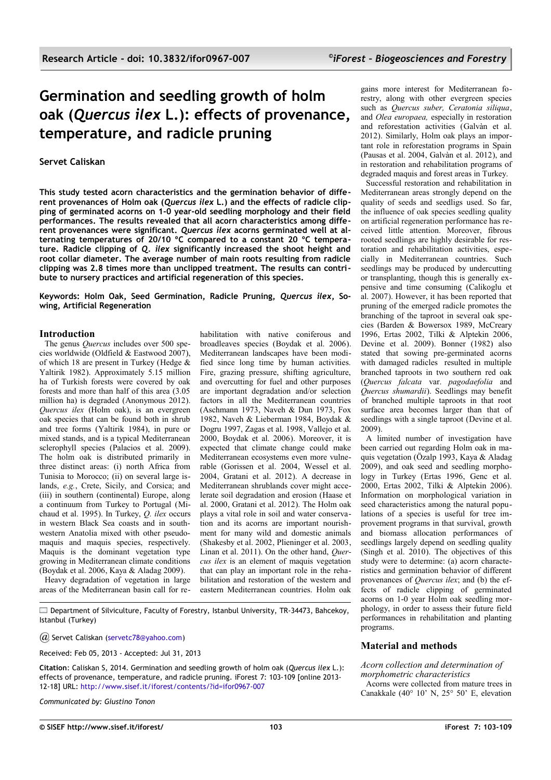# **Germination and seedling growth of holm oak (***Quercus ilex* **L.): effects of provenance, temperature, and radicle pruning**

# **Servet Caliskan**

**This study tested acorn characteristics and the germination behavior of different provenances of Holm oak (***Quercus ilex* **L.) and the effects of radicle clipping of germinated acorns on 1-0 year-old seedling morphology and their field performances. The results revealed that all acorn characteristics among different provenances were significant.** *Quercus ilex* **acorns germinated well at alternating temperatures of 20/10 ºC compared to a constant 20 ºC temperature. Radicle clipping of** *Q. ilex* **significantly increased the shoot height and root collar diameter. The average number of main roots resulting from radicle clipping was 2.8 times more than unclipped treatment. The results can contribute to nursery practices and artificial regeneration of this species.**

**Keywords: Holm Oak, Seed Germination, Radicle Pruning,** *Quercus ilex***, Sowing, Artificial Regeneration**

## **Introduction**

The genus *Quercus* includes over 500 species worldwide (Oldfield & Eastwood 2007), of which 18 are present in Turkey (Hedge & Yaltirik 1982). Approximately 5.15 million ha of Turkish forests were covered by oak forests and more than half of this area (3.05 million ha) is degraded (Anonymous 2012). *Quercus ilex* (Holm oak), is an evergreen oak species that can be found both in shrub and tree forms (Yaltirik 1984), in pure or mixed stands, and is a typical Mediterranean sclerophyll species (Palacios et al. 2009). The holm oak is distributed primarily in three distinct areas: (i) north Africa from Tunisia to Morocco; (ii) on several large islands, *e.g.*, Crete, Sicily, and Corsica; and (iii) in southern (continental) Europe, along a continuum from Turkey to Portugal (Michaud et al. 1995). In Turkey, *Q. ilex* occurs in western Black Sea coasts and in southwestern Anatolia mixed with other pseudomaquis and maquis species, respectively. Maquis is the dominant vegetation type growing in Mediterranean climate conditions (Boydak et al. 2006, Kaya & Aladag 2009).

Heavy degradation of vegetation in large areas of the Mediterranean basin call for re-

Department of Silviculture, Faculty of Forestry, Istanbul University, TR-34473, Bahcekoy, Istanbul (Turkey)

*@* Servet Caliskan [\(servetc78@yahoo.com\)](mailto:)

Received: Feb 05, 2013 - Accepted: Jul 31, 2013

**Citation**: Caliskan S, 2014. Germination and seedling growth of holm oak (*Quercus ilex* L.): effects of provenance, temperature, and radicle pruning. iForest 7: 103-109 [online 2013- 12-18] URL:<http://www.sisef.it/iforest/contents/?id=ifor0967-007>

*Communicated by: Giustino Tonon*

habilitation with native coniferous and broadleaves species (Boydak et al. 2006). Mediterranean landscapes have been modified since long time by human activities. Fire, grazing pressure, shifting agriculture, and overcutting for fuel and other purposes are important degradation and/or selection factors in all the Mediterranean countries (Aschmann 1973, Naveh & Dun 1973, Fox 1982, Naveh & Lieberman 1984, Boydak & Dogru 1997, Zagas et al. 1998, Vallejo et al. 2000, Boydak et al. 2006). Moreover, it is expected that climate change could make Mediterranean ecosystems even more vulnerable (Gorissen et al. 2004, Wessel et al. 2004, Gratani et al. 2012). A decrease in Mediterranean shrublands cover might accelerate soil degradation and erosion (Haase et al. 2000, Gratani et al. 2012). The Holm oak plays a vital role in soil and water conservation and its acorns are important nourishment for many wild and domestic animals (Shakesby et al. 2002, Plieninger et al. 2003, Linan et al. 2011). On the other hand, *Quercus ilex* is an element of maquis vegetation that can play an important role in the rehabilitation and restoration of the western and eastern Mediterranean countries. Holm oak gains more interest for Mediterranean forestry, along with other evergreen species such as *Quercus suber, Ceratonia siliqua*, and *Olea europaea,* especially in restoration and reforestation activities (Galvàn et al. 2012). Similarly, Holm oak plays an important role in reforestation programs in Spain (Pausas et al. 2004, Galvàn et al. 2012), and in restoration and rehabilitation programs of degraded maquis and forest areas in Turkey.

Successful restoration and rehabilitation in Mediterranean areas strongly depend on the quality of seeds and seedligs used. So far, the influence of oak species seedling quality on artificial regeneration performance has received little attention. Moreover, fibrous rooted seedlings are highly desirable for restoration and rehabilitation activities, especially in Mediterranean countries. Such seedlings may be produced by undercutting or transplanting, though this is generally expensive and time consuming (Calikoglu et al. 2007). However, it has been reported that pruning of the emerged radicle promotes the branching of the taproot in several oak species (Barden & Bowersox 1989, McCreary 1996, Ertas 2002, Tilki & Alptekin 2006, Devine et al. 2009). Bonner (1982) also stated that sowing pre-germinated acorns with damaged radicles resulted in multiple branched taproots in two southern red oak (*Quercus falcata* var. *pagodaefolia* and *Quercus shumardii*). Seedlings may benefit of branched multiple taproots in that root surface area becomes larger than that of seedlings with a single taproot (Devine et al. 2009).

A limited number of investigation have been carried out regarding Holm oak in maquis vegetation (Özalp 1993, Kaya & Aladag 2009), and oak seed and seedling morphology in Turkey (Ertas 1996, Genc et al. 2000, Ertas 2002, Tilki & Alptekin 2006). Information on morphological variation in seed characteristics among the natural populations of a species is useful for tree improvement programs in that survival, growth and biomass allocation performances of seedlings largely depend on seedling quality (Singh et al. 2010). The objectives of this study were to determine: (a) acorn characteristics and germination behavior of different provenances of *Quercus ilex*; and (b) the effects of radicle clipping of germinated acorns on 1-0 year Holm oak seedling morphology, in order to assess their future field performances in rehabilitation and planting programs.

# **Material and methods**

*Acorn collection and determination of morphometric characteristics*

Acorns were collected from mature trees in Canakkale (40° 10' N, 25° 50' E, elevation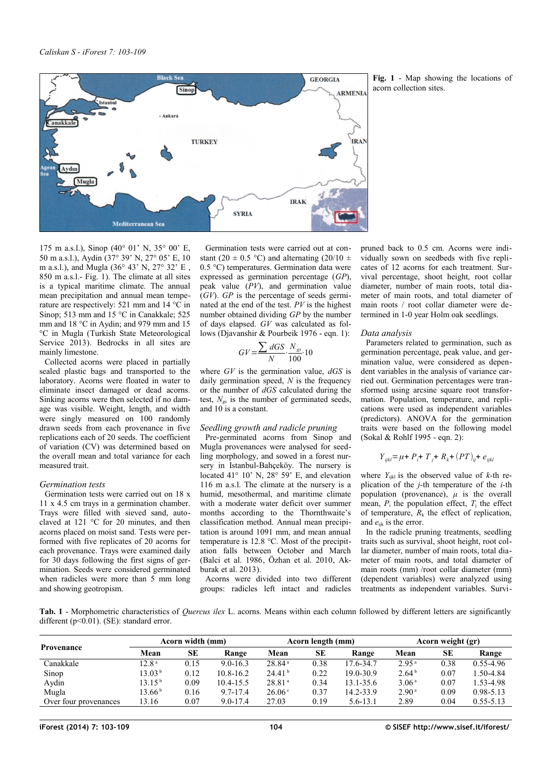

<span id="page-1-0"></span>**Fig. 1** - Map showing the locations of acorn collection sites.

175 m a.s.l.), Sinop (40° 01' N, 35° 00' E, 50 m a.s.l.), Aydin (37° 39' N, 27° 05' E, 10 m a.s.l.), and Mugla (36° 43' N, 27° 32' E , 850 m a.s.l.- [Fig. 1\)](#page-1-0). The climate at all sites is a typical maritime climate. The annual mean precipitation and annual mean temperature are respectively: 521 mm and 14 °C in Sinop; 513 mm and 15 °C in Canakkale; 525 mm and 18 °C in Aydin; and 979 mm and 15 °C in Mugla (Turkish State Meteorological Service 2013). Bedrocks in all sites are mainly limestone.

Collected acorns were placed in partially sealed plastic bags and transported to the laboratory. Acorns were floated in water to eliminate insect damaged or dead acorns. Sinking acorns were then selected if no damage was visible. Weight, length, and width were singly measured on 100 randomly drawn seeds from each provenance in five replications each of 20 seeds. The coefficient of variation (CV) was determined based on the overall mean and total variance for each measured trait.

#### *Germination tests*

Germination tests were carried out on 18 x 11 x 4.5 cm trays in a germination chamber. Trays were filled with sieved sand, autoclaved at 121 °C for 20 minutes, and then acorns placed on moist sand. Tests were performed with five replicates of 20 acorns for each provenance. Trays were examined daily for 30 days following the first signs of germination. Seeds were considered germinated when radicles were more than 5 mm long and showing geotropism.

Germination tests were carried out at constant (20  $\pm$  0.5 °C) and alternating (20/10  $\pm$ 0.5 °C) temperatures. Germination data were expressed as germination percentage (*GP*), peak value (*PV*), and germination value (*GV*). *GP* is the percentage of seeds germinated at the end of the test. *PV* is the highest number obtained dividing *GP* by the number of days elapsed. *GV* was calculated as follows (Djavanshir & Pourbeik 1976 - eqn. 1):

$$
GV = \frac{\sum dGS}{N} \cdot \frac{N_{gs}}{100} \cdot 10
$$

where *GV* is the germination value, *dGS* is daily germination speed, *N* is the frequency or the number of *dGS* calculated during the test,  $N_{gs}$  is the number of germinated seeds, and 10 is a constant.

#### *Seedling growth and radicle pruning*

Pre-germinated acorns from Sinop and Mugla provenances were analysed for seedling morphology, and sowed in a forest nursery in Istanbul-Bahçeköy. The nursery is located 41° 10' N, 28° 59' E, and elevation 116 m a.s.l. The climate at the nursery is a humid, mesothermal, and maritime climate with a moderate water deficit over summer months according to the Thornthwaite's classification method. Annual mean precipitation is around 1091 mm, and mean annual temperature is 12.8 °C. Most of the precipitation falls between October and March (Balci et al. 1986, Özhan et al. 2010, Akburak et al. 2013).

Acorns were divided into two different groups: radicles left intact and radicles

pruned back to 0.5 cm. Acorns were individually sown on seedbeds with five replicates of 12 acorns for each treatment. Survival percentage, shoot height, root collar diameter, number of main roots, total diameter of main roots, and total diameter of main roots / root collar diameter were determined in 1-0 year Holm oak seedlings.

#### *Data analysis*

Parameters related to germination, such as germination percentage, peak value, and germination value, were considered as dependent variables in the analysis of variance carried out. Germination percentages were transformed using arcsine square root transformation. Population, temperature, and replications were used as independent variables (predictors). ANOVA for the germination traits were based on the following model (Sokal & Rohlf 1995 - eqn. 2):

$$
Y_{ijkl} = \mu + P_i + T_j + R_k + (PT)_{ij} + e_{ijkl}
$$

where  $Y_{iikl}$  is the observed value of  $k$ -th replication of the *j-*th temperature of the *i-*th population (provenance),  $\mu$  is the overall mean,  $P_i$  the population effect,  $T_i$  the effect of temperature,  $R_k$  the effect of replication. and  $e_{ijk}$  is the error.

In the radicle pruning treatments, seedling traits such as survival, shoot height, root collar diameter, number of main roots, total diameter of main roots, and total diameter of main roots (mm) /root collar diameter (mm) (dependent variables) were analyzed using treatments as independent variables. Survi-

<span id="page-1-1"></span>**Tab. 1** - Morphometric characteristics of *Quercus ilex* L. acorns. Means within each column followed by different letters are significantly different (p<0.01). (SE): standard error.

|                       | Acorn width (mm)     |      | Acorn length (mm) |                    |      | Acorn weight (gr) |                   |      |               |
|-----------------------|----------------------|------|-------------------|--------------------|------|-------------------|-------------------|------|---------------|
| <b>Provenance</b>     | Mean                 | SE   | Range             | Mean               | SЕ   | Range             | Mean              | SЕ   | Range         |
| Canakkale             | 12.8 <sup>a</sup>    | 0.15 | $9.0 - 16.3$      | 28.84 <sup>a</sup> | 0.38 | 17.6-34.7         | $2.95^{\text{a}}$ | 0.38 | $0.55 - 4.96$ |
| Sinop                 | 13.03 <sup>b</sup>   | 0.12 | $10.8 - 16.2$     | 24.41 <sup>b</sup> | 0.22 | $19.0 - 30.9$     | 2.64 <sup>b</sup> | 0.07 | 1.50-4.84     |
| Aydin                 | $13.15^{b}$          | 0.09 | 10.4-15.5         | 28.81 <sup>a</sup> | 0.34 | 13.1-35.6         | 3.06 <sup>a</sup> | 0.07 | 1.53-4.98     |
| Mugla                 | $13.66^{\mathrm{b}}$ | 0.16 | $9.7 - 17.4$      | $26.06^{\circ}$    | 0.37 | $14.2 - 33.9$     | 2.90 <sup>a</sup> | 0.09 | 0.98-5.13     |
| Over four provenances | 13.16                | 0.07 | $9.0 - 17.4$      | 27.03              | 0.19 | $5.6 - 13.1$      | 2.89              | 0.04 | $0.55 - 5.13$ |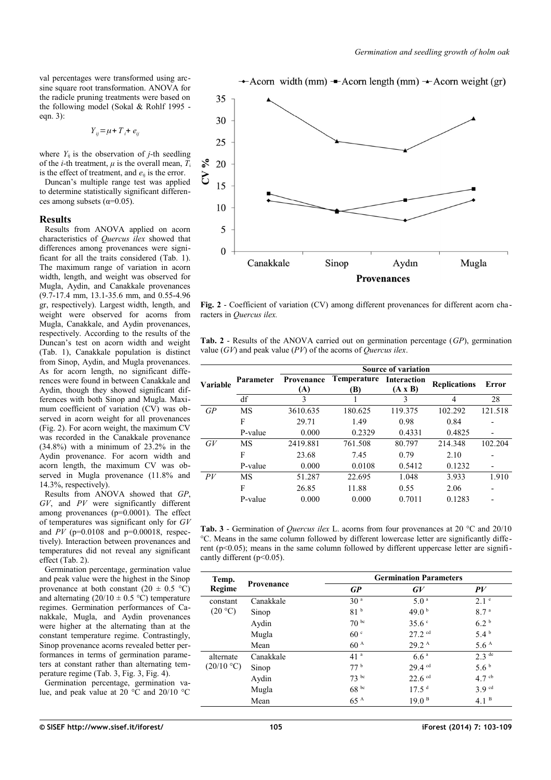val percentages were transformed using arcsine square root transformation. ANOVA for the radicle pruning treatments were based on the following model (Sokal & Rohlf 1995 eqn. 3):

$$
Y_{ij} = \mu + T_i + e_{ij}
$$

where  $Y_{ij}$  is the observation of *j*-th seedling of the *i*-th treatment,  $\mu$  is the overall mean,  $T_i$ is the effect of treatment, and  $e_{ij}$  is the error.

Duncan's multiple range test was applied to determine statistically significant differences among subsets ( $\alpha$ =0.05).

#### **Results**

Results from ANOVA applied on acorn characteristics of *Quercus ilex* showed that differences among provenances were significant for all the traits considered [\(Tab. 1\)](#page-1-1). The maximum range of variation in acorn width, length, and weight was observed for Mugla, Aydin, and Canakkale provenances (9.7-17.4 mm, 13.1-35.6 mm, and 0.55-4.96 gr, respectively). Largest width, length, and weight were observed for acorns from Mugla, Canakkale, and Aydin provenances, respectively. According to the results of the Duncan's test on acorn width and weight [\(Tab. 1\)](#page-1-1), Canakkale population is distinct from Sinop, Aydin, and Mugla provenances. As for acorn length, no significant differences were found in between Canakkale and Aydin, though they showed significant differences with both Sinop and Mugla. Maximum coefficient of variation (CV) was observed in acorn weight for all provenances [\(Fig. 2\)](#page-2-2). For acorn weight, the maximum CV was recorded in the Canakkale provenance (34.8%) with a minimum of 23.2% in the Aydin provenance. For acorn width and acorn length, the maximum CV was observed in Mugla provenance (11.8% and 14.3%, respectively).

Results from ANOVA showed that *GP*, *GV*, and *PV* were significantly different among provenances  $(p=0.0001)$ . The effect of temperatures was significant only for *GV* and  $\vec{PV}$  (p=0.0108 and p=0.00018, respectively). Interaction between provenances and temperatures did not reveal any significant effect [\(Tab. 2\)](#page-2-1).

Germination percentage, germination value and peak value were the highest in the Sinop provenance at both constant  $(20 \pm 0.5 \degree \text{C})$ and alternating  $(20/10 \pm 0.5 \degree C)$  temperature regimes. Germination performances of Canakkale, Mugla, and Aydin provenances were higher at the alternating than at the constant temperature regime. Contrastingly, Sinop provenance acorns revealed better performances in terms of germination parameters at constant rather than alternating temperature regime [\(Tab. 3,](#page-2-0) [Fig. 3,](#page-3-1) [Fig. 4\)](#page-3-0).

Germination percentage, germination value, and peak value at 20 °C and 20/10 °C



<span id="page-2-2"></span>Fig. 2 - Coefficient of variation (CV) among different provenances for different acorn characters in *Quercus ilex.*

<span id="page-2-1"></span>**Tab. 2** - Results of the ANOVA carried out on germination percentage (*GP*), germination value (*GV*) and peak value (*PV*) of the acorns of *Quercus ilex*.

|          | Parameter | <b>Source of variation</b> |                           |                                      |                     |         |  |  |
|----------|-----------|----------------------------|---------------------------|--------------------------------------|---------------------|---------|--|--|
| Variable |           | Provenance<br>(A)          | <b>Temperature</b><br>(B) | <b>Interaction</b><br>$(A \times B)$ | <b>Replications</b> | Error   |  |  |
|          | df        | 3                          |                           | 3                                    | 4                   | 28      |  |  |
| GP       | MS        | 3610.635                   | 180.625                   | 119.375                              | 102.292             | 121.518 |  |  |
|          | F         | 29.71                      | 1.49                      | 0.98                                 | 0.84                |         |  |  |
|          | P-value   | 0.000                      | 0.2329                    | 0.4331                               | 0.4825              |         |  |  |
| $\,GV$   | MS        | 2419.881                   | 761.508                   | 80.797                               | 214.348             | 102.204 |  |  |
|          | F         | 23.68                      | 7.45                      | 0.79                                 | 2.10                |         |  |  |
|          | P-value   | 0.000                      | 0.0108                    | 0.5412                               | 0.1232              |         |  |  |
| PV       | MS        | 51.287                     | 22.695                    | 1.048                                | 3.933               | 1.910   |  |  |
|          | F         | 26.85                      | 11.88                     | 0.55                                 | 2.06                |         |  |  |
|          | P-value   | 0.000                      | 0.000                     | 0.7011                               | 0.1283              |         |  |  |

<span id="page-2-0"></span>**Tab. 3** - Germination of *Quercus ilex* L. acorns from four provenances at 20 °C and 20/10 °C. Means in the same column followed by different lowercase letter are significantly different ( $p<0.05$ ); means in the same column followed by different uppercase letter are significantly different ( $p<0.05$ ).

| Temp.                   |            | <b>Germination Parameters</b> |                      |                   |  |  |
|-------------------------|------------|-------------------------------|----------------------|-------------------|--|--|
| Regime                  | Provenance | <b>GP</b>                     | $\bm{G}V$            | PV                |  |  |
| constant<br>(20 °C)     | Canakkale  | 30 <sup>a</sup>               | 5.0 <sup>a</sup>     | 2.1 <sup>e</sup>  |  |  |
|                         | Sinop      | 81 <sup>b</sup>               | 49.0 $b$             | 8.7 <sup>a</sup>  |  |  |
|                         | Aydin      | $70^{\mathrm{bc}}$            | 35.6 <sup>c</sup>    | 6.2 <sup>b</sup>  |  |  |
|                         | Mugla      | 60 <sup>c</sup>               | $27.2$ <sup>cd</sup> | 5.4 <sup>b</sup>  |  |  |
|                         | Mean       | 60 <sup>A</sup>               | 29.2 <sup>A</sup>    | 5.6 <sup>A</sup>  |  |  |
| alternate<br>(20/10 °C) | Canakkale  | 41 <sup>a</sup>               | 6.6 <sup>a</sup>     | $2.3$ de          |  |  |
|                         | Sinop      | 77 <sup>b</sup>               | $29.4$ <sup>cd</sup> | 5.6 <sup>b</sup>  |  |  |
|                         | Aydin      | $73$ bc                       | $22.6$ $cd$          | 4.7 <sup>cb</sup> |  |  |
|                         | Mugla      | 68 <sup>bc</sup>              | 17.5 <sup>d</sup>    | $3.9$ cd          |  |  |
|                         | Mean       | $65^{\text{A}}$               | 19.0 <sup>B</sup>    | 4.1 <sup>B</sup>  |  |  |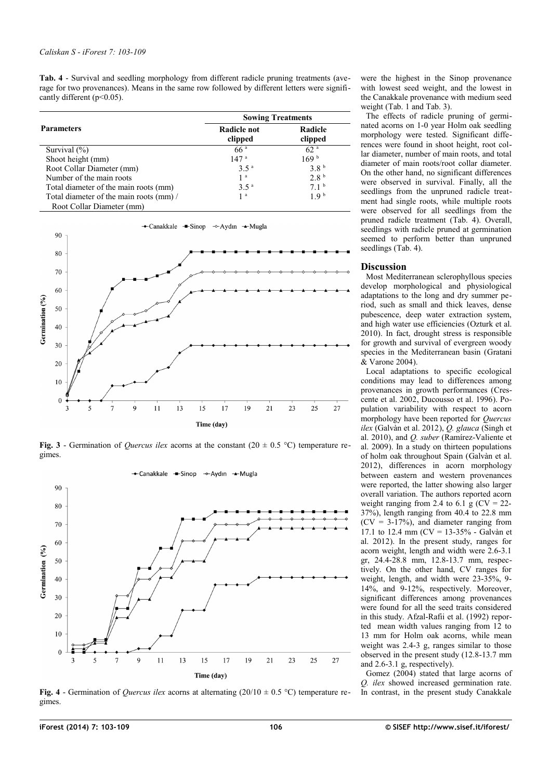<span id="page-3-2"></span>**Tab. 4** - Survival and seedling morphology from different radicle pruning treatments (average for two provenances). Means in the same row followed by different letters were significantly different (p<0.05).

|                                         | <b>Sowing Treatments</b> |                    |  |  |
|-----------------------------------------|--------------------------|--------------------|--|--|
| <b>Parameters</b>                       | Radicle not<br>clipped   | Radicle<br>clipped |  |  |
| Survival $(\% )$                        | 66 <sup>a</sup>          | 62 <sup>a</sup>    |  |  |
| Shoot height (mm)                       | 147 <sup>a</sup>         | 169 <sup>b</sup>   |  |  |
| Root Collar Diameter (mm)               | 3.5 <sup>a</sup>         | 3.8 <sup>b</sup>   |  |  |
| Number of the main roots                | 1 <sup>a</sup>           | 2.8 <sup>b</sup>   |  |  |
| Total diameter of the main roots (mm)   | 3.5 <sup>a</sup>         | 71 <sup>b</sup>    |  |  |
| Total diameter of the main roots (mm) / | 1 <sup>a</sup>           | 19 <sup>b</sup>    |  |  |
| Root Collar Diameter (mm)               |                          |                    |  |  |



<span id="page-3-1"></span>



<span id="page-3-0"></span>**Fig. 4** - Germination of *Quercus ilex* acorns at alternating (20/10  $\pm$  0.5 °C) temperature regimes.

were the highest in the Sinop provenance with lowest seed weight, and the lowest in the Canakkale provenance with medium seed weight [\(Tab. 1](#page-1-1) and [Tab. 3\)](#page-2-0).

The effects of radicle pruning of germinated acorns on 1-0 year Holm oak seedling morphology were tested. Significant differences were found in shoot height, root collar diameter, number of main roots, and total diameter of main roots/root collar diameter. On the other hand, no significant differences were observed in survival. Finally, all the seedlings from the unpruned radicle treatment had single roots, while multiple roots were observed for all seedlings from the pruned radicle treatment [\(Tab. 4\)](#page-3-2). Overall, seedlings with radicle pruned at germination seemed to perform better than unpruned seedlings [\(Tab. 4\)](#page-3-2).

## **Discussion**

Most Mediterranean sclerophyllous species develop morphological and physiological adaptations to the long and dry summer period, such as small and thick leaves, dense pubescence, deep water extraction system, and high water use efficiencies (Ozturk et al. 2010). In fact, drought stress is responsible for growth and survival of evergreen woody species in the Mediterranean basin (Gratani & Varone 2004).

Local adaptations to specific ecological conditions may lead to differences among provenances in growth performances (Crescente et al. 2002, Ducousso et al. 1996). Population variability with respect to acorn morphology have been reported for *Quercus ilex* (Galvàn et al. 2012), *Q. glauca* (Singh et al. 2010), and *Q. suber* (Ramírez-Valiente et al. 2009). In a study on thirteen populations of holm oak throughout Spain (Galvàn et al. 2012), differences in acorn morphology between eastern and western provenances were reported, the latter showing also larger overall variation. The authors reported acorn weight ranging from 2.4 to 6.1 g ( $CV = 22$ -37%), length ranging from 40.4 to 22.8 mm  $(CV = 3-17%)$ , and diameter ranging from 17.1 to 12.4 mm (CV = 13-35% - Galvàn et al. 2012). In the present study, ranges for acorn weight, length and width were 2.6-3.1 gr, 24.4-28.8 mm, 12.8-13.7 mm, respectively. On the other hand, CV ranges for weight, length, and width were 23-35%, 9- 14%, and 9-12%, respectively. Moreover, significant differences among provenances were found for all the seed traits considered in this study. Afzal-Rafii et al. (1992) reported mean width values ranging from 12 to 13 mm for Holm oak acorns, while mean weight was 2.4-3 g, ranges similar to those observed in the present study (12.8-13.7 mm and 2.6-3.1 g, respectively).

Gomez (2004) stated that large acorns of *Q. ilex* showed increased germination rate. In contrast, in the present study Canakkale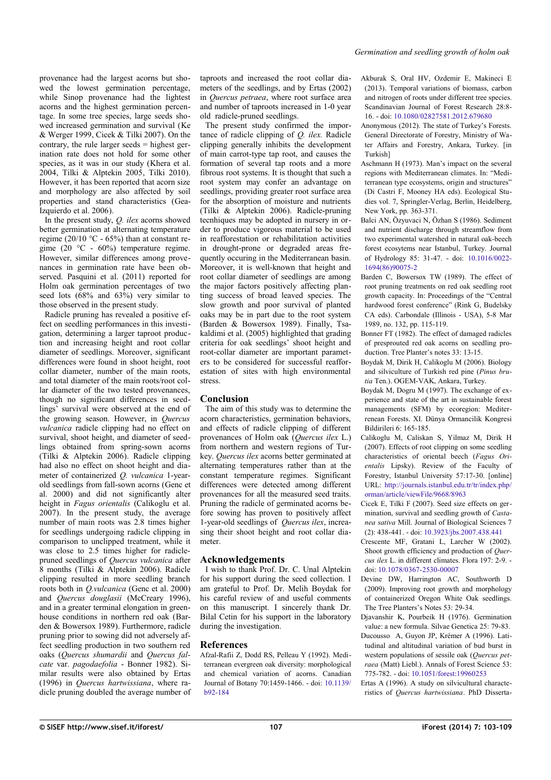provenance had the largest acorns but showed the lowest germination percentage, while Sinop provenance had the lightest acorns and the highest germination percentage. In some tree species, large seeds showed increased germination and survival (Ke & Werger 1999, Cicek & Tilki 2007). On the contrary, the rule larger seeds = highest gerination rate does not hold for some other species, as it was in our study (Khera et al. 2004, Tilki & Alptekin 2005, Tilki 2010). However, it has been reported that acorn size and morphology are also affected by soil properties and stand characteristics (Gea-Izquierdo et al. 2006).

In the present study, *Q. ilex* acorns showed better germination at alternating temperature regime (20/10  $\degree$ C - 65%) than at constant regime  $(20 °C - 60%)$  temperature regime. However, similar differences among provenances in germination rate have been observed. Pasquini et al. (2011) reported for Holm oak germination percentages of two seed lots (68% and 63%) very similar to those observed in the present study.

Radicle pruning has revealed a positive effect on seedling performances in this investigation, determining a larger taproot production and increasing height and root collar diameter of seedlings. Moreover, significant differences were found in shoot height, root collar diameter, number of the main roots, and total diameter of the main roots/root collar diameter of the two tested provenances, though no significant differences in seedlings' survival were observed at the end of the growing season. However, in *Quercus vulcanica* radicle clipping had no effect on survival, shoot height, and diameter of seedlings obtained from spring-sown acorns (Tilki & Alptekin 2006). Radicle clipping had also no effect on shoot height and diameter of containerized *Q. vulcanica* 1-yearold seedlings from fall-sown acorns (Genc et al. 2000) and did not significantly alter height in *Fagus orientalis* (Calikoglu et al. 2007). In the present study, the average number of main roots was 2.8 times higher for seedlings undergoing radicle clipping in comparison to unclipped treatment, while it was close to 2.5 times higher for radiclepruned seedlings of *Quercus vulcanica* after 8 months (Tilki & Alptekin 2006). Radicle clipping resulted in more seedling branch roots both in *Q.vulcanica* (Genc et al. 2000) and *Quercus douglasii* (McCreary 1996), and in a greater terminal elongation in greenhouse conditions in northern red oak (Barden & Bowersox 1989). Furthermore, radicle pruning prior to sowing did not adversely affect seedling production in two southern red oaks (*Quercus shumardii* and *Quercus falcate* var. *pagodaefolia* - Bonner 1982). Similar results were also obtained by Ertas (1996) in *Quercus hartwissiana*, where radicle pruning doubled the average number of taproots and increased the root collar diameters of the seedlings, and by Ertas (2002) in *Quercus petraea*, where root surface area and number of taproots increased in 1-0 year old radicle-pruned seedlings.

The present study confirmed the importance of radicle clipping of *Q. ilex.* Radicle clipping generally inhibits the development of main carrot-type tap root, and causes the formation of several tap roots and a more fibrous root systems. It is thought that such a root system may confer an advantage on seedlings, providing greater root surface area for the absorption of moisture and nutrients (Tilki & Alptekin 2006). Radicle-pruning tecnhiques may be adopted in nursery in order to produce vigorous material to be used in reafforestation or rehabilitation activities in drought-prone or degraded areas frequently occuring in the Mediterranean basin. Moreover, it is well-known that height and root collar diameter of seedlings are among the major factors positively affecting planting success of broad leaved species. The slow growth and poor survival of planted oaks may be in part due to the root system (Barden & Bowersox 1989). Finally, Tsakaldimi et al. (2005) highlighted that grading criteria for oak seedlings' shoot height and root-collar diameter are important parameters to be considered for successful reafforestation of sites with high environmental stress.

## **Conclusion**

The aim of this study was to determine the acorn characteristics, germination behaviors, and effects of radicle clipping of different provenances of Holm oak (*Quercus ilex* L.) from northern and western regions of Turkey. *Quercus ilex* acorns better germinated at alternating temperatures rather than at the constant temperature regimes. Significant differences were detected among different provenances for all the measured seed traits. Pruning the radicle of germinated acorns before sowing has proven to positively affect 1-year-old seedlings of *Quercus ilex*, increasing their shoot height and root collar diameter.

## **Acknowledgements**

I wish to thank Prof. Dr. C. Unal Alptekin for his support during the seed collection. I am grateful to Prof. Dr. Melih Boydak for his careful review of and useful comments on this manuscript. I sincerely thank Dr. Bilal Cetin for his support in the laboratory during the investigation.

#### **References**

Afzal-Rafii Z, Dodd RS, Pelleau Y (1992). Mediterranean evergreen oak diversity: morphological and chemical variation of acorns. Canadian Journal of Botany 70:1459-1466. - doi: [10.1139/](http://dx.doi.org/10.1139/b92-184) [b92-184](http://dx.doi.org/10.1139/b92-184)

Akburak S, Oral HV, Ozdemir E, Makineci E (2013). Temporal variations of biomass, carbon and nitrogen of roots under different tree species. Scandinavian Journal of Forest Research 28:8- 16. - doi: [10.1080/02827581.2012.679680](http://dx.doi.org/10.1080/02827581.2012.679680)

- Anonymous (2012). The state of Turkey's Forests. General Directorate of Forestry, Ministry of Water Affairs and Forestry, Ankara, Turkey. [in Turkish]
- Aschmann H (1973). Man's impact on the several regions with Mediterranean climates. In: "Mediterranean type ecosystems, origin and structures" (Di Castri F, Mooney HA eds). Ecological Studies vol. 7, Springler-Verlag, Berlin, Heidelberg, New York, pp. 363-371.
- Balci AN, Özyuvaci N, Özhan S (1986). Sediment and nutrient discharge through streamflow from two experimental watershed in natural oak-beech forest ecosytems near Istanbul, Turkey. Journal of Hydrology 85: 31-47. - doi: [10.1016/0022-](http://dx.doi.org/10.1016/0022-1694(86)90075-2) [1694\(86\)90075-2](http://dx.doi.org/10.1016/0022-1694(86)90075-2)
- Barden C, Bowersox TW (1989). The effect of root pruning treatments on red oak seedling root growth capacity. In: Proceedings of the "Central hardwood forest conference" (Rink G, Budelsky CA eds). Carbondale (Illinois - USA), 5-8 Mar 1989, no. 132, pp. 115-119.
- Bonner FT (1982). The effect of damaged radicles of presprouted red oak acorns on seedling production. Tree Planter's notes 33: 13-15.
- Boydak M, Dirik H, Calikoglu M (2006). Biology and silviculture of Turkish red pine (*Pinus brutia* Ten.). OGEM-VAK, Ankara, Turkey.
- Boydak M, Dogru M (1997). The exchange of experience and state of the art in sustainable forest managements (SFM) by ecoregion: Mediterrenean Forests. XI. Dünya Ormancilik Kongresi Bildirileri 6: 165-185.
- Calikoglu M, Caliskan S, Yilmaz M, Dirik H (2007). Effects of root clipping on some seedling characteristics of oriental beech (*Fagus Orientalis* Lipsky). Review of the Faculty of Forestry, Istanbul University 57:17-30. [online] URL: [http://journals.istanbul.edu.tr/tr/index.php/](http://journals.istanbul.edu.tr/tr/index.php/orman/article/viewFile/9668/8963) [orman/article/viewFile/9668/8963](http://journals.istanbul.edu.tr/tr/index.php/orman/article/viewFile/9668/8963)
- Cicek E, Tilki F (2007). Seed size effects on germination, survival and seedling growth of *Castanea sativa* Mill. Journal of Biological Sciences 7 (2): 438-441. - doi: [10.3923/jbs.2007.438.441](http://dx.doi.org/10.3923/jbs.2007.438.441)
- Crescente MF, Gratani L, Larcher W (2002). Shoot growth efficiency and production of *Quercus ilex* L. in different climates. Flora 197: 2-9. doi: [10.1078/0367-2530-00007](http://dx.doi.org/10.1078/0367-2530-00007)
- Devine DW, Harrington AC, Southworth D (2009). Improving root growth and morphology of containerized Oregon White Oak seedlings. The Tree Planters's Notes 53: 29-34.
- Djavanshir K, Pourbeik H (1976). Germination value: a new formula. Silvae Genetica 25: 79-83.
- Ducousso A, Guyon JP, Krémer A (1996). Latitudinal and altitudinal variation of bud burst in western populations of sessile oak (*Quercus petraea* (Matt) Liebl.). Annals of Forest Science 53: 775-782. - doi: [10.1051/forest:19960253](http://dx.doi.org/10.1051/forest:19960253)
- Ertas A (1996). A study on silvicultural characteristics of *Quercus hartwissiana*. PhD Disserta-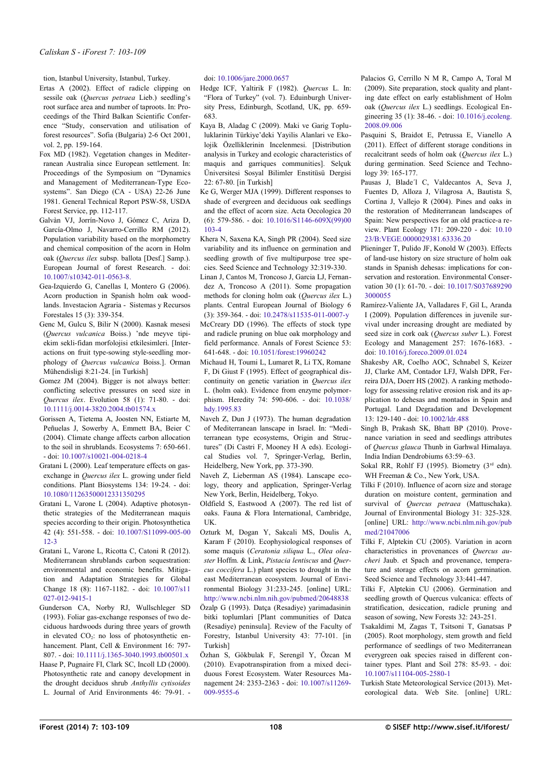tion, Istanbul University, Istanbul, Turkey.

- Ertas A (2002). Effect of radicle clipping on sessile oak (*Quercus petraea* Lieb.) seedling's root surface area and number of taproots. In: Proceedings of the Third Balkan Scientific Conference "Study, conservation and utilisation of forest resources". Sofia (Bulgaria) 2-6 Oct 2001, vol. 2, pp. 159-164.
- Fox MD (1982). Vegetation changes in Mediterranean Australia since European settlement. In: Proceedings of the Symposium on "Dynamics and Management of Mediterranean-Type Ecosystems". San Diego (CA - USA) 22-26 June 1981. General Technical Report PSW-58, USDA Forest Service, pp. 112-117.
- Galvàn VJ, Jorrín-Novo J, Gómez C, Ariza D, García-Olmo J, Navarro-Cerrillo RM (2012). Population variability based on the morphometry and chemical composition of the acorn in Holm oak (*Quercus ilex* subsp. ballota [Desf.] Samp.). European Journal of forest Research. - doi: [10.1007/s10342-011-0563-8.](http://dx.doi.org/10.1007/s10342-011-0563-8.)
- Gea-Izquierdo G, Canellas I, Montero G (2006). Acorn production in Spanish holm oak woodlands. Investacion Agraria - Sistemas y Recursos Forestales 15 (3): 339-354.
- Genc M, Gulcu S, Bilir N (2000). Kasnak mesesi (*Quercus vulcanica* Boiss.) 'nde meyve tipiekim sekli-fidan morfolojisi etkilesimleri. [Interactions on fruit type-sowing style-seedling morphology of *Quercus vulcanica* Boiss.]. Orman Mühendisligi 8:21-24. [in Turkish]
- Gomez JM (2004). Bigger is not always better: conflicting selective pressures on seed size in *Quercus ilex*. Evolution 58 (1): 71-80. - doi: [10.1111/j.0014-3820.2004.tb01574.x](http://dx.doi.org/10.1111/j.0014-3820.2004.tb01574.x)
- Gorissen A, Tietema A, Joosten NN, Estiarte M, Peñuelas J, Sowerby A, Emmett BA, Beier C (2004). Climate change affects carbon allocation to the soil in shrublands. Ecosystems 7: 650-661. - doi: [10.1007/s10021-004-0218-4](http://dx.doi.org/10.1007/s10021-004-0218-4)
- Gratani L (2000). Leaf temperature effects on gasexchange in *Quercus ilex* L. growing under field conditions. Plant Biosystems 134: 19-24. - doi: [10.1080/11263500012331350295](http://dx.doi.org/10.1080/11263500012331350295)
- Gratani L, Varone L (2004). Adaptive photosynthetic strategies of the Mediterranean maquis species according to their origin. Photosynthetica 42 (4): 551-558. - doi: [10.1007/S11099-005-00](http://dx.doi.org/10.1007/S11099-005-0012-3)  $12-3$
- Gratani L, Varone L, Ricotta C, Catoni R (2012). Mediterranean shrublands carbon sequestration: environmental and economic benefits. Mitigation and Adaptation Strategies for Global Change 18 (8): 1167-1182. - doi: [10.1007/s11](http://dx.doi.org/10.1007/s11027-012-9415-1) [027-012-9415-1](http://dx.doi.org/10.1007/s11027-012-9415-1)
- Gunderson CA, Norby RJ, Wullschleger SD (1993). Foliar gas-exchange responses of two deciduous hardwoods during three years of growth in elevated  $CO<sub>2</sub>$ : no loss of photosynthetic enhancement. Plant, Cell & Environment 16: 797- 807. - doi: [10.1111/j.1365-3040.1993.tb00501.x](http://dx.doi.org/10.1111/j.1365-3040.1993.tb00501.x)
- Haase P, Pugnaire FI, Clark SC, Incoll LD (2000). Photosynthetic rate and canopy development in the drought deciduos shrub *Anthyllis cytisoides* L. Journal of Arid Environments 46: 79-91. -

#### doi: [10.1006/jare.2000.0657](http://dx.doi.org/10.1006/jare.2000.0657)

- Hedge ICF, Yaltirik F (1982). *Quercus* L. In: "Flora of Turkey" (vol. 7). Eduinburgh University Press, Edinburgh, Scotland, UK, pp. 659- 683.
- Kaya B, Aladag C (2009). Maki ve Garig Topluluklarinin Türkiye'deki Yayilis Alanlari ve Ekolojik Özelliklerinin Incelenmesi. [Distribution analysis in Turkey and ecologic characteristics of maquis and garriques communities]. Selçuk Üniversitesi Sosyal Bilimler Enstitüsü Dergisi 22: 67-80. [in Turkish]
- Ke G, Werger MJA (1999). Different responses to shade of evergreen and deciduous oak seedlings and the effect of acorn size. Acta Oecologica 20 (6): 579-586. - doi: [10.1016/S1146-609X\(99\)00](http://dx.doi.org/10.1016/S1146-609X(99)00103-4) [103-4](http://dx.doi.org/10.1016/S1146-609X(99)00103-4)
- Khera N, Saxena KA, Singh PR (2004). Seed size variability and its influence on germination and seedling growth of five multipurpose tree species. Seed Science and Technology 32:319-330.
- Linan J, Cantos M, Troncoso J, Garcia LJ, Fernandez A, Troncoso A (2011). Some propagation methods for cloning holm oak (*Quercus ilex* L.) plants. Central European Journal of Biology 6 (3): 359-364. - doi: [10.2478/s11535-011-0007-y](http://dx.doi.org/10.2478/s11535-011-0007-y)
- McCreary DD (1996). The effects of stock type and radicle pruning on blue oak morphology and field performance. Annals of Forest Science 53: 641-648. - doi: [10.1051/forest:19960242](http://dx.doi.org/10.1051/forest:19960242)
- Michaud H, Toumi L, Lumaret R, Li TX, Romane F, Di Giust F (1995). Effect of geographical discontinuity on genetic variation in *Quercus ilex* L. (holm oak). Evidence from enzyme polymorphism. Heredity 74: 590-606. - doi: [10.1038/](http://dx.doi.org/10.1038/hdy.1995.83) [hdy.1995.83](http://dx.doi.org/10.1038/hdy.1995.83)
- Naveh Z, Dun J (1973). The human degradation of Mediterranean lanscape in Israel. In: "Mediterranean type ecosystems, Origin and Structures" (Di Castri F, Mooney H A eds). Ecological Studies vol. 7, Springer-Verlag, Berlin, Heidelberg, New York, pp. 373-390.
- Naveh Z, Lieberman AS (1984). Lanscape ecology, theory and application, Springer-Verlag New York, Berlin, Heidelberg, Tokyo.
- Oldfield S, Eastwood A (2007). The red list of oaks. Fauna & Flora International, Cambridge, UK.
- Ozturk M, Dogan Y, Sakcali MS, Doulis A, Karam F (2010). Ecophysiological responses of some maquis (*Ceratonia siliqua* L., *Olea oleaster* Hoffm. & Link, *Pistacia lentiscus* and *Quercus coccifera* L.) plant species to drought in the east Mediterranean ecosystem. Journal of Environmental Biology 31:233-245. [online] URL: <http://www.ncbi.nlm.nih.gov/pubmed/20648838>
- Özalp G (1993). Datça (Resadiye) yarimadasinin bitki toplumlari [Plant communities of Datca (Resadiye) peninsula]. Review of the Faculty of Forestry, Istanbul University 43: 77-101. [in Turkish]
- Özhan S, Gökbulak F, Serengil Y, Özcan M (2010). Evapotranspiration from a mixed deciduous Forest Ecosystem. Water Resources Management 24: 2353-2363 - doi: [10.1007/s11269-](http://dx.doi.org/10.1007/s11269-009-9555-6) [009-9555-6](http://dx.doi.org/10.1007/s11269-009-9555-6)
- Palacios G, Cerrillo N M R, Campo A, Toral M (2009). Site preparation, stock quality and planting date effect on early establishment of Holm oak (*Quercus ilex* L.) seedlings. Ecological Engineering 35 (1): 38-46. - doi: [10.1016/j.ecoleng.](http://dx.doi.org/10.1016/j.ecoleng.2008.09.006) [2008.09.006](http://dx.doi.org/10.1016/j.ecoleng.2008.09.006)
- Pasquini S, Braidot E, Petrussa E, Vianello A (2011). Effect of different storage conditions in recalcitrant seeds of holm oak (*Quercus ilex* L.) during germination. Seed Science and Technology 39: 165-177.
- Pausas J, Blade´l C, Valdecantos A, Seva J, Fuentes D, Alloza J, Vilagrosa A, Bautista S, Cortina J, Vallejo R (2004). Pines and oaks in the restoration of Mediterranean landscapes of Spain: New perspectives for an old practice-a review. Plant Ecology 171: 209-220 - doi: [10.10](http://dx.doi.org/10.1023/B:VEGE.0000029381.63336.20) [23/B:VEGE.0000029381.63336.20](http://dx.doi.org/10.1023/B:VEGE.0000029381.63336.20)
- Plieninger T, Pulido JF, Konold W (2003). Effects of land-use history on size structure of holm oak stands in Spanish dehesas: implications for conservation and restoration. Environmental Conservation 30 (1): 61-70. - doi: [10.1017/S037689290](http://dx.doi.org/10.1017/S0376892903000055) [3000055](http://dx.doi.org/10.1017/S0376892903000055)
- Ramírez-Valiente JA, Valladares F, Gil L, Aranda I (2009). Population differences in juvenile survival under increasing drought are mediated by seed size in cork oak (*Quercus suber* L.). Forest Ecology and Management 257: 1676-1683. doi: [10.1016/j.foreco.2009.01.024](http://dx.doi.org/10.1016/j.foreco.2009.01.024)
- Shakesby AR, Coelho AOC, Schnabel S, Keizer JJ, Clarke AM, Contador LFJ, Walsh DPR, Ferreira DJA, Doerr HS (2002). A ranking methodology for assessing relative erosion risk and its application to dehesas and montados in Spain and Portugal. Land Degradation and Development 13: 129-140 - doi: [10.1002/ldr.488](http://dx.doi.org/10.1002/ldr.488)
- Singh B, Prakash SK, Bhatt BP (2010). Provenance variation in seed and seedlings attributes of *Quercus glauca* Thunb in Garhwal Himalaya. India Indian Dendrobiums 63:59–63.
- Sokal RR, Rohlf FJ (1995). Biometry (3<sup>rd</sup> edn). WH Freeman & Co., New York, USA.
- Tilki F (2010). Influence of acorn size and storage duration on moisture content, germination and survival of *Quercus petraea* (Mattuschaka). Journal of Environmental Biology 31: 325-328. [online] URL: [http://www.ncbi.nlm.nih.gov/pub](http://www.ncbi.nlm.nih.gov/pubmed/21047006) [med/21047006](http://www.ncbi.nlm.nih.gov/pubmed/21047006)
- Tilki F, Alptekin CU (2005). Variation in acorn characteristics in provenances of *Quercus aucheri* Jaub. et Spach and provenance, temperature and storage effects on acorn germination. Seed Science and Technology 33:441-447.
- Tilki F, Alptekin CU (2006). Germination and seedling growth of Quercus vulcanica: effects of stratification, desiccation, radicle pruning and season of sowing, New Forests 32: 243-251.
- Tsakaldimi M, Zagas T, Tsitsoni T, Ganatsas P (2005). Root morphology, stem growth and field performance of seedlings of two Mediterranean everygreen oak species raised in different container types. Plant and Soil 278: 85-93. - doi: [10.1007/s11104-005-2580-1](http://dx.doi.org/10.1007/s11104-005-2580-1)
- Turkish State Meteorological Service (2013). Meteorological data. Web Site. [online] URL: